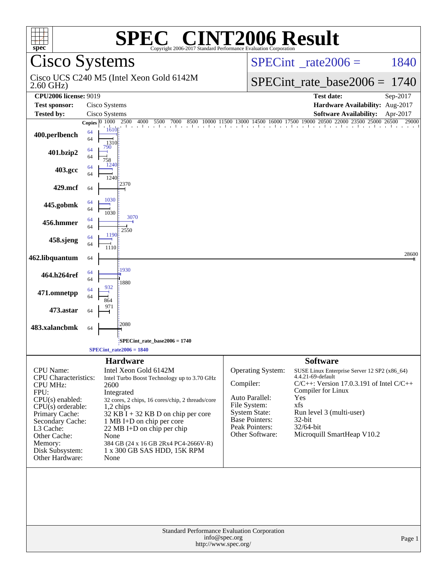| $spec^*$                                                                                                                                                                                                                            |                                               |                                                                    | <b>SPEC<sup>®</sup> CINT2006 Result</b><br>Copyright 2006-2017 Standard Performance Evaluation Corporation                                                                                                                                                                                         |                                                                                                                                                        |                                                                                                                                                                                                                                                            |          |
|-------------------------------------------------------------------------------------------------------------------------------------------------------------------------------------------------------------------------------------|-----------------------------------------------|--------------------------------------------------------------------|----------------------------------------------------------------------------------------------------------------------------------------------------------------------------------------------------------------------------------------------------------------------------------------------------|--------------------------------------------------------------------------------------------------------------------------------------------------------|------------------------------------------------------------------------------------------------------------------------------------------------------------------------------------------------------------------------------------------------------------|----------|
| <b>Cisco Systems</b>                                                                                                                                                                                                                |                                               |                                                                    |                                                                                                                                                                                                                                                                                                    |                                                                                                                                                        | $SPECint^{\circ}$ <sub>_rate2006</sub> =                                                                                                                                                                                                                   | 1840     |
| $2.60$ GHz)                                                                                                                                                                                                                         |                                               |                                                                    | Cisco UCS C240 M5 (Intel Xeon Gold 6142M                                                                                                                                                                                                                                                           |                                                                                                                                                        | $SPECint_rate_base2006 =$                                                                                                                                                                                                                                  | 1740     |
| <b>CPU2006 license: 9019</b>                                                                                                                                                                                                        |                                               |                                                                    |                                                                                                                                                                                                                                                                                                    |                                                                                                                                                        | <b>Test date:</b>                                                                                                                                                                                                                                          | Sep-2017 |
| <b>Test sponsor:</b>                                                                                                                                                                                                                |                                               | Cisco Systems                                                      |                                                                                                                                                                                                                                                                                                    |                                                                                                                                                        | Hardware Availability: Aug-2017                                                                                                                                                                                                                            |          |
| <b>Tested by:</b>                                                                                                                                                                                                                   |                                               | Cisco Systems                                                      |                                                                                                                                                                                                                                                                                                    |                                                                                                                                                        | <b>Software Availability:</b>                                                                                                                                                                                                                              | Apr-2017 |
| 400.perlbench                                                                                                                                                                                                                       | Copies $\overline{0\ 1000}$<br>64<br>64<br>64 | 1610<br>1310<br>790                                                | 2500<br>$\frac{500}{1}$ 4000 5500 7000 8500 10000 11500 13000 14500 16000 17500 19000 20500 22000 23500 25000 26500 1                                                                                                                                                                              |                                                                                                                                                        |                                                                                                                                                                                                                                                            | 29000    |
| 401.bzip2                                                                                                                                                                                                                           | 64<br>64                                      | 758<br>124                                                         |                                                                                                                                                                                                                                                                                                    |                                                                                                                                                        |                                                                                                                                                                                                                                                            |          |
| 403.gcc                                                                                                                                                                                                                             | 64                                            | 1240<br>2370                                                       |                                                                                                                                                                                                                                                                                                    |                                                                                                                                                        |                                                                                                                                                                                                                                                            |          |
| 429.mcf                                                                                                                                                                                                                             | 64                                            | 1030                                                               |                                                                                                                                                                                                                                                                                                    |                                                                                                                                                        |                                                                                                                                                                                                                                                            |          |
| 445.gobmk                                                                                                                                                                                                                           | 64<br>64                                      | 1030                                                               | 3070                                                                                                                                                                                                                                                                                               |                                                                                                                                                        |                                                                                                                                                                                                                                                            |          |
| 456.hmmer                                                                                                                                                                                                                           | 64<br>64                                      |                                                                    | 2550                                                                                                                                                                                                                                                                                               |                                                                                                                                                        |                                                                                                                                                                                                                                                            |          |
| 458.sjeng                                                                                                                                                                                                                           | 64<br>64                                      | 1190<br>1110                                                       |                                                                                                                                                                                                                                                                                                    |                                                                                                                                                        |                                                                                                                                                                                                                                                            |          |
| 462.libquantum                                                                                                                                                                                                                      | 64                                            |                                                                    |                                                                                                                                                                                                                                                                                                    |                                                                                                                                                        |                                                                                                                                                                                                                                                            | 28600    |
| 464.h264ref                                                                                                                                                                                                                         | 64<br>64                                      | 1930<br>1880                                                       |                                                                                                                                                                                                                                                                                                    |                                                                                                                                                        |                                                                                                                                                                                                                                                            |          |
| 471.omnetpp                                                                                                                                                                                                                         | 64<br>64                                      | 932<br>864                                                         |                                                                                                                                                                                                                                                                                                    |                                                                                                                                                        |                                                                                                                                                                                                                                                            |          |
| 473.astar                                                                                                                                                                                                                           | 64                                            | 971                                                                |                                                                                                                                                                                                                                                                                                    |                                                                                                                                                        |                                                                                                                                                                                                                                                            |          |
| 483.xalancbmk                                                                                                                                                                                                                       | 64                                            | 2080                                                               |                                                                                                                                                                                                                                                                                                    |                                                                                                                                                        |                                                                                                                                                                                                                                                            |          |
|                                                                                                                                                                                                                                     |                                               | $SPECint\_rate2006 = 1840$                                         | SPECint_rate_base2006 = 1740;                                                                                                                                                                                                                                                                      |                                                                                                                                                        |                                                                                                                                                                                                                                                            |          |
| CPU Name:<br><b>CPU</b> Characteristics:<br><b>CPU MHz:</b><br>FPU:<br>$CPU(s)$ enabled:<br>$CPU(s)$ orderable:<br>Primary Cache:<br>Secondary Cache:<br>L3 Cache:<br>Other Cache:<br>Memory:<br>Disk Subsystem:<br>Other Hardware: |                                               | <b>Hardware</b><br>2600<br>Integrated<br>1,2 chips<br>None<br>None | Intel Xeon Gold 6142M<br>Intel Turbo Boost Technology up to 3.70 GHz<br>32 cores, 2 chips, 16 cores/chip, 2 threads/core<br>$32$ KB I + 32 KB D on chip per core<br>1 MB I+D on chip per core<br>22 MB I+D on chip per chip<br>384 GB (24 x 16 GB 2Rx4 PC4-2666V-R)<br>1 x 300 GB SAS HDD, 15K RPM | <b>Operating System:</b><br>Compiler:<br>Auto Parallel:<br>File System:<br><b>System State:</b><br>Base Pointers:<br>Peak Pointers:<br>Other Software: | <b>Software</b><br>SUSE Linux Enterprise Server 12 SP2 (x86_64)<br>4.4.21-69-default<br>$C/C++$ : Version 17.0.3.191 of Intel $C/C++$<br>Compiler for Linux<br>Yes<br>xfs<br>Run level 3 (multi-user)<br>32-bit<br>32/64-bit<br>Microquill SmartHeap V10.2 |          |
|                                                                                                                                                                                                                                     |                                               |                                                                    |                                                                                                                                                                                                                                                                                                    | Standard Performance Evaluation Corporation<br>info@spec.org<br>http://www.spec.org/                                                                   |                                                                                                                                                                                                                                                            | Page 1   |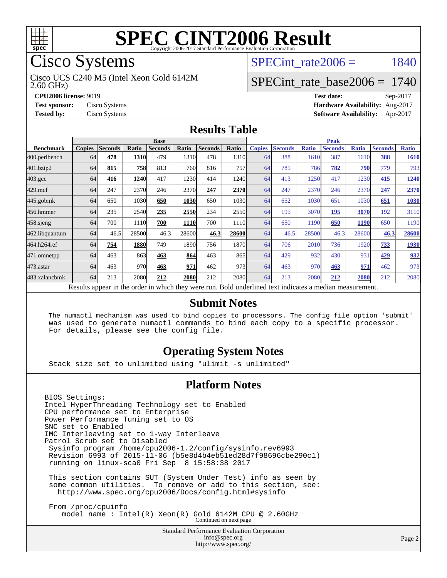

# Cisco Systems

2.60 GHz) Cisco UCS C240 M5 (Intel Xeon Gold 6142M SPECint rate $2006 = 1840$ 

## [SPECint\\_rate\\_base2006 =](http://www.spec.org/auto/cpu2006/Docs/result-fields.html#SPECintratebase2006) 1740

**[CPU2006 license:](http://www.spec.org/auto/cpu2006/Docs/result-fields.html#CPU2006license)** 9019 **[Test date:](http://www.spec.org/auto/cpu2006/Docs/result-fields.html#Testdate)** Sep-2017 **[Test sponsor:](http://www.spec.org/auto/cpu2006/Docs/result-fields.html#Testsponsor)** Cisco Systems **[Hardware Availability:](http://www.spec.org/auto/cpu2006/Docs/result-fields.html#HardwareAvailability)** Aug-2017 **[Tested by:](http://www.spec.org/auto/cpu2006/Docs/result-fields.html#Testedby)** Cisco Systems **[Software Availability:](http://www.spec.org/auto/cpu2006/Docs/result-fields.html#SoftwareAvailability)** Apr-2017

### **[Results Table](http://www.spec.org/auto/cpu2006/Docs/result-fields.html#ResultsTable)**

|                                                                                                                  | <b>Base</b>   |                |              |                |       |                |       | <b>Peak</b>   |                |              |                |              |                |              |
|------------------------------------------------------------------------------------------------------------------|---------------|----------------|--------------|----------------|-------|----------------|-------|---------------|----------------|--------------|----------------|--------------|----------------|--------------|
| <b>Benchmark</b>                                                                                                 | <b>Copies</b> | <b>Seconds</b> | <b>Ratio</b> | <b>Seconds</b> | Ratio | <b>Seconds</b> | Ratio | <b>Copies</b> | <b>Seconds</b> | <b>Ratio</b> | <b>Seconds</b> | <b>Ratio</b> | <b>Seconds</b> | <b>Ratio</b> |
| 400.perlbench                                                                                                    | 64            | 478            | 1310         | 479            | 1310  | 478            | 1310  | 64            | 388            | 1610         | 387            | 1610         | 388            | 1610         |
| 401.bzip2                                                                                                        | 64            | 815            | 758          | 813            | 760I  | 816            | 757l  | 64            | 785            | 786          | 782            | 790          | 779            | 793          |
| $403.\mathrm{gcc}$                                                                                               | 64            | 416            | 1240         | 417            | 1230  | 414            | 1240  | 64            | 413            | 1250         | 417            | 1230         | 415            | <u>1240</u>  |
| $429$ .mcf                                                                                                       | 64            | 247            | 2370         | 246            | 2370  | 247            | 2370  | 64            | 247            | 2370         | 246            | 2370         | 247            | 2370         |
| $445$ .gobm $k$                                                                                                  | 64            | 650            | 1030         | 650            | 1030  | 650            | 1030l | 64            | 652            | 1030         | 651            | 1030         | 651            | 1030         |
| 456.hmmer                                                                                                        | 64            | 235            | 2540         | 235            | 2550  | 234            | 2550  | 64            | 195            | 3070         | 195            | 3070         | 192            | 3110         |
| $458$ .sjeng                                                                                                     | 64            | 700            | 1110         | 700            | 1110  | 700            | 1110  | 64            | 650            | 1190         | 650            | 1190         | 650            | 1190         |
| 462.libquantum                                                                                                   | 64            | 46.5           | 28500        | 46.3           | 28600 | 46.3           | 28600 | 64            | 46.5           | 28500        | 46.3           | 28600        | 46.3           | 28600        |
| 464.h264ref                                                                                                      | 64            | 754            | 1880         | 749            | 1890  | 756            | 1870  | 64            | 706            | 2010         | 736            | 1920         | 733            | 1930         |
| 471.omnetpp                                                                                                      | 64            | 463            | 863          | 463            | 864   | 463            | 865   | 64            | 429            | 932          | 430            | 931          | 429            | 932          |
| $473.$ astar                                                                                                     | 64            | 463            | 970          | 463            | 971   | 462            | 973   | 64            | 463            | 970          | 463            | 971          | 462            | 973          |
| 483.xalancbmk                                                                                                    | 64            | 213            | 2080         | 212            | 2080  | 212            | 2080l | 64            | 213            | 2080         | 212            | 2080         | 212            | 2080         |
| <b>Dold</b> underlined tout indicates a modian measurement<br>Doculto ennear in the order in which thay were min |               |                |              |                |       |                |       |               |                |              |                |              |                |              |

Results appear in the [order in which they were run.](http://www.spec.org/auto/cpu2006/Docs/result-fields.html#RunOrder) Bold underlined text [indicates a median measurement.](http://www.spec.org/auto/cpu2006/Docs/result-fields.html#Median)

### **[Submit Notes](http://www.spec.org/auto/cpu2006/Docs/result-fields.html#SubmitNotes)**

 The numactl mechanism was used to bind copies to processors. The config file option 'submit' was used to generate numactl commands to bind each copy to a specific processor. For details, please see the config file.

## **[Operating System Notes](http://www.spec.org/auto/cpu2006/Docs/result-fields.html#OperatingSystemNotes)**

Stack size set to unlimited using "ulimit -s unlimited"

### **[Platform Notes](http://www.spec.org/auto/cpu2006/Docs/result-fields.html#PlatformNotes)**

BIOS Settings: Intel HyperThreading Technology set to Enabled CPU performance set to Enterprise Power Performance Tuning set to OS SNC set to Enabled IMC Interleaving set to 1-way Interleave Patrol Scrub set to Disabled Sysinfo program /home/cpu2006-1.2/config/sysinfo.rev6993 Revision 6993 of 2015-11-06 (b5e8d4b4eb51ed28d7f98696cbe290c1) running on linux-sca0 Fri Sep 8 15:58:38 2017 This section contains SUT (System Under Test) info as seen by some common utilities. To remove or add to this section, see: <http://www.spec.org/cpu2006/Docs/config.html#sysinfo>

 From /proc/cpuinfo model name : Intel(R) Xeon(R) Gold 6142M CPU @ 2.60GHz Continued on next page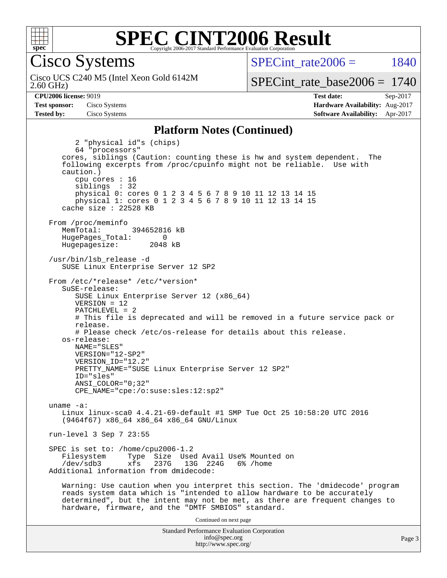

## **[SPEC CINT2006 Result](http://www.spec.org/auto/cpu2006/Docs/result-fields.html#SPECCINT2006Result)** Copyright 2006-2017 Standard Performance Evaluation Corporation

Cisco Systems

2.60 GHz) Cisco UCS C240 M5 (Intel Xeon Gold 6142M SPECint rate $2006 = 1840$ 

[SPECint\\_rate\\_base2006 =](http://www.spec.org/auto/cpu2006/Docs/result-fields.html#SPECintratebase2006) 1740

**[CPU2006 license:](http://www.spec.org/auto/cpu2006/Docs/result-fields.html#CPU2006license)** 9019 **[Test date:](http://www.spec.org/auto/cpu2006/Docs/result-fields.html#Testdate)** Sep-2017 **[Test sponsor:](http://www.spec.org/auto/cpu2006/Docs/result-fields.html#Testsponsor)** Cisco Systems **[Hardware Availability:](http://www.spec.org/auto/cpu2006/Docs/result-fields.html#HardwareAvailability)** Aug-2017 **[Tested by:](http://www.spec.org/auto/cpu2006/Docs/result-fields.html#Testedby)** Cisco Systems **[Software Availability:](http://www.spec.org/auto/cpu2006/Docs/result-fields.html#SoftwareAvailability)** Apr-2017

#### **[Platform Notes \(Continued\)](http://www.spec.org/auto/cpu2006/Docs/result-fields.html#PlatformNotes)**

Standard Performance Evaluation Corporation 2 "physical id"s (chips) 64 "processors" cores, siblings (Caution: counting these is hw and system dependent. The following excerpts from /proc/cpuinfo might not be reliable. Use with caution.) cpu cores : 16 siblings : 32 physical 0: cores 0 1 2 3 4 5 6 7 8 9 10 11 12 13 14 15 physical 1: cores 0 1 2 3 4 5 6 7 8 9 10 11 12 13 14 15 cache size : 22528 KB From /proc/meminfo MemTotal: 394652816 kB HugePages\_Total: 0<br>Hugepagesize: 2048 kB Hugepagesize: /usr/bin/lsb\_release -d SUSE Linux Enterprise Server 12 SP2 From /etc/\*release\* /etc/\*version\* SuSE-release: SUSE Linux Enterprise Server 12 (x86\_64)  $VFRSTON = 12$  PATCHLEVEL = 2 # This file is deprecated and will be removed in a future service pack or release. # Please check /etc/os-release for details about this release. os-release: NAME="SLES" VERSION="12-SP2" VERSION\_ID="12.2" PRETTY\_NAME="SUSE Linux Enterprise Server 12 SP2" ID="sles" ANSI\_COLOR="0;32" CPE\_NAME="cpe:/o:suse:sles:12:sp2" uname -a: Linux linux-sca0 4.4.21-69-default #1 SMP Tue Oct 25 10:58:20 UTC 2016 (9464f67) x86\_64 x86\_64 x86\_64 GNU/Linux run-level 3 Sep 7 23:55 SPEC is set to: /home/cpu2006-1.2<br>Filesystem Type Size Use Type Size Used Avail Use% Mounted on /dev/sdb3 xfs 237G 13G 224G 6% /home Additional information from dmidecode: Warning: Use caution when you interpret this section. The 'dmidecode' program reads system data which is "intended to allow hardware to be accurately determined", but the intent may not be met, as there are frequent changes to hardware, firmware, and the "DMTF SMBIOS" standard. Continued on next page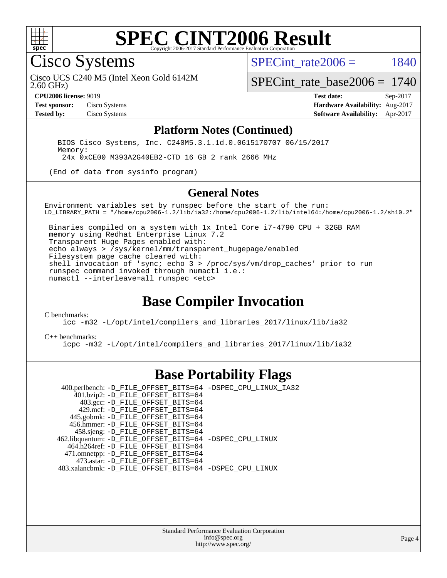

## **[SPEC CINT2006 Result](http://www.spec.org/auto/cpu2006/Docs/result-fields.html#SPECCINT2006Result)** Copyright 2006-2017 Standard Performance Evaluation

Cisco Systems

SPECint rate $2006 = 1840$ 

2.60 GHz) Cisco UCS C240 M5 (Intel Xeon Gold 6142M

[SPECint\\_rate\\_base2006 =](http://www.spec.org/auto/cpu2006/Docs/result-fields.html#SPECintratebase2006) 1740

**[CPU2006 license:](http://www.spec.org/auto/cpu2006/Docs/result-fields.html#CPU2006license)** 9019 **[Test date:](http://www.spec.org/auto/cpu2006/Docs/result-fields.html#Testdate)** Sep-2017 **[Test sponsor:](http://www.spec.org/auto/cpu2006/Docs/result-fields.html#Testsponsor)** Cisco Systems **[Hardware Availability:](http://www.spec.org/auto/cpu2006/Docs/result-fields.html#HardwareAvailability)** Aug-2017 **[Tested by:](http://www.spec.org/auto/cpu2006/Docs/result-fields.html#Testedby)** Cisco Systems **[Software Availability:](http://www.spec.org/auto/cpu2006/Docs/result-fields.html#SoftwareAvailability)** Apr-2017

### **[Platform Notes \(Continued\)](http://www.spec.org/auto/cpu2006/Docs/result-fields.html#PlatformNotes)**

 BIOS Cisco Systems, Inc. C240M5.3.1.1d.0.0615170707 06/15/2017 Memory: 24x 0xCE00 M393A2G40EB2-CTD 16 GB 2 rank 2666 MHz

(End of data from sysinfo program)

#### **[General Notes](http://www.spec.org/auto/cpu2006/Docs/result-fields.html#GeneralNotes)**

Environment variables set by runspec before the start of the run: LD\_LIBRARY\_PATH = "/home/cpu2006-1.2/lib/ia32:/home/cpu2006-1.2/lib/intel64:/home/cpu2006-1.2/sh10.2"

 Binaries compiled on a system with 1x Intel Core i7-4790 CPU + 32GB RAM memory using Redhat Enterprise Linux 7.2 Transparent Huge Pages enabled with: echo always > /sys/kernel/mm/transparent\_hugepage/enabled Filesystem page cache cleared with: shell invocation of 'sync; echo 3 > /proc/sys/vm/drop\_caches' prior to run runspec command invoked through numactl i.e.: numactl --interleave=all runspec <etc>

## **[Base Compiler Invocation](http://www.spec.org/auto/cpu2006/Docs/result-fields.html#BaseCompilerInvocation)**

[C benchmarks](http://www.spec.org/auto/cpu2006/Docs/result-fields.html#Cbenchmarks):

[icc -m32 -L/opt/intel/compilers\\_and\\_libraries\\_2017/linux/lib/ia32](http://www.spec.org/cpu2006/results/res2017q4/cpu2006-20170919-50191.flags.html#user_CCbase_intel_icc_c29f3ff5a7ed067b11e4ec10a03f03ae)

#### [C++ benchmarks:](http://www.spec.org/auto/cpu2006/Docs/result-fields.html#CXXbenchmarks)

[icpc -m32 -L/opt/intel/compilers\\_and\\_libraries\\_2017/linux/lib/ia32](http://www.spec.org/cpu2006/results/res2017q4/cpu2006-20170919-50191.flags.html#user_CXXbase_intel_icpc_8c35c7808b62dab9ae41a1aa06361b6b)

## **[Base Portability Flags](http://www.spec.org/auto/cpu2006/Docs/result-fields.html#BasePortabilityFlags)**

 400.perlbench: [-D\\_FILE\\_OFFSET\\_BITS=64](http://www.spec.org/cpu2006/results/res2017q4/cpu2006-20170919-50191.flags.html#user_basePORTABILITY400_perlbench_file_offset_bits_64_438cf9856305ebd76870a2c6dc2689ab) [-DSPEC\\_CPU\\_LINUX\\_IA32](http://www.spec.org/cpu2006/results/res2017q4/cpu2006-20170919-50191.flags.html#b400.perlbench_baseCPORTABILITY_DSPEC_CPU_LINUX_IA32) 401.bzip2: [-D\\_FILE\\_OFFSET\\_BITS=64](http://www.spec.org/cpu2006/results/res2017q4/cpu2006-20170919-50191.flags.html#user_basePORTABILITY401_bzip2_file_offset_bits_64_438cf9856305ebd76870a2c6dc2689ab) 403.gcc: [-D\\_FILE\\_OFFSET\\_BITS=64](http://www.spec.org/cpu2006/results/res2017q4/cpu2006-20170919-50191.flags.html#user_basePORTABILITY403_gcc_file_offset_bits_64_438cf9856305ebd76870a2c6dc2689ab) 429.mcf: [-D\\_FILE\\_OFFSET\\_BITS=64](http://www.spec.org/cpu2006/results/res2017q4/cpu2006-20170919-50191.flags.html#user_basePORTABILITY429_mcf_file_offset_bits_64_438cf9856305ebd76870a2c6dc2689ab) 445.gobmk: [-D\\_FILE\\_OFFSET\\_BITS=64](http://www.spec.org/cpu2006/results/res2017q4/cpu2006-20170919-50191.flags.html#user_basePORTABILITY445_gobmk_file_offset_bits_64_438cf9856305ebd76870a2c6dc2689ab) 456.hmmer: [-D\\_FILE\\_OFFSET\\_BITS=64](http://www.spec.org/cpu2006/results/res2017q4/cpu2006-20170919-50191.flags.html#user_basePORTABILITY456_hmmer_file_offset_bits_64_438cf9856305ebd76870a2c6dc2689ab) 458.sjeng: [-D\\_FILE\\_OFFSET\\_BITS=64](http://www.spec.org/cpu2006/results/res2017q4/cpu2006-20170919-50191.flags.html#user_basePORTABILITY458_sjeng_file_offset_bits_64_438cf9856305ebd76870a2c6dc2689ab) 462.libquantum: [-D\\_FILE\\_OFFSET\\_BITS=64](http://www.spec.org/cpu2006/results/res2017q4/cpu2006-20170919-50191.flags.html#user_basePORTABILITY462_libquantum_file_offset_bits_64_438cf9856305ebd76870a2c6dc2689ab) [-DSPEC\\_CPU\\_LINUX](http://www.spec.org/cpu2006/results/res2017q4/cpu2006-20170919-50191.flags.html#b462.libquantum_baseCPORTABILITY_DSPEC_CPU_LINUX) 464.h264ref: [-D\\_FILE\\_OFFSET\\_BITS=64](http://www.spec.org/cpu2006/results/res2017q4/cpu2006-20170919-50191.flags.html#user_basePORTABILITY464_h264ref_file_offset_bits_64_438cf9856305ebd76870a2c6dc2689ab) 471.omnetpp: [-D\\_FILE\\_OFFSET\\_BITS=64](http://www.spec.org/cpu2006/results/res2017q4/cpu2006-20170919-50191.flags.html#user_basePORTABILITY471_omnetpp_file_offset_bits_64_438cf9856305ebd76870a2c6dc2689ab) 473.astar: [-D\\_FILE\\_OFFSET\\_BITS=64](http://www.spec.org/cpu2006/results/res2017q4/cpu2006-20170919-50191.flags.html#user_basePORTABILITY473_astar_file_offset_bits_64_438cf9856305ebd76870a2c6dc2689ab) 483.xalancbmk: [-D\\_FILE\\_OFFSET\\_BITS=64](http://www.spec.org/cpu2006/results/res2017q4/cpu2006-20170919-50191.flags.html#user_basePORTABILITY483_xalancbmk_file_offset_bits_64_438cf9856305ebd76870a2c6dc2689ab) [-DSPEC\\_CPU\\_LINUX](http://www.spec.org/cpu2006/results/res2017q4/cpu2006-20170919-50191.flags.html#b483.xalancbmk_baseCXXPORTABILITY_DSPEC_CPU_LINUX)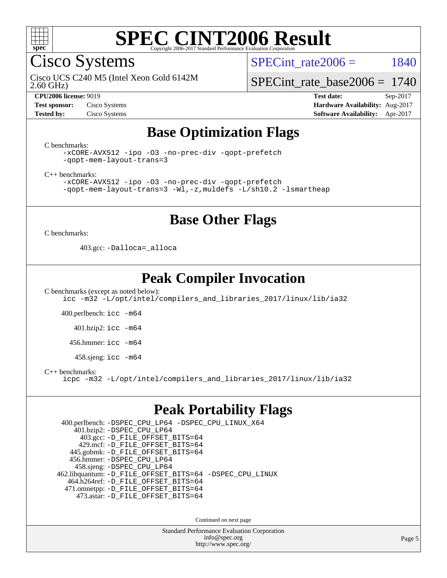

Cisco Systems

SPECint rate $2006 = 1840$ 

2.60 GHz) Cisco UCS C240 M5 (Intel Xeon Gold 6142M

[SPECint\\_rate\\_base2006 =](http://www.spec.org/auto/cpu2006/Docs/result-fields.html#SPECintratebase2006) 1740

**[CPU2006 license:](http://www.spec.org/auto/cpu2006/Docs/result-fields.html#CPU2006license)** 9019 **[Test date:](http://www.spec.org/auto/cpu2006/Docs/result-fields.html#Testdate)** Sep-2017 **[Test sponsor:](http://www.spec.org/auto/cpu2006/Docs/result-fields.html#Testsponsor)** Cisco Systems **[Hardware Availability:](http://www.spec.org/auto/cpu2006/Docs/result-fields.html#HardwareAvailability)** Aug-2017 **[Tested by:](http://www.spec.org/auto/cpu2006/Docs/result-fields.html#Testedby)** Cisco Systems **[Software Availability:](http://www.spec.org/auto/cpu2006/Docs/result-fields.html#SoftwareAvailability)** Apr-2017

## **[Base Optimization Flags](http://www.spec.org/auto/cpu2006/Docs/result-fields.html#BaseOptimizationFlags)**

[C benchmarks](http://www.spec.org/auto/cpu2006/Docs/result-fields.html#Cbenchmarks):

[-xCORE-AVX512](http://www.spec.org/cpu2006/results/res2017q4/cpu2006-20170919-50191.flags.html#user_CCbase_f-xCORE-AVX512) [-ipo](http://www.spec.org/cpu2006/results/res2017q4/cpu2006-20170919-50191.flags.html#user_CCbase_f-ipo) [-O3](http://www.spec.org/cpu2006/results/res2017q4/cpu2006-20170919-50191.flags.html#user_CCbase_f-O3) [-no-prec-div](http://www.spec.org/cpu2006/results/res2017q4/cpu2006-20170919-50191.flags.html#user_CCbase_f-no-prec-div) [-qopt-prefetch](http://www.spec.org/cpu2006/results/res2017q4/cpu2006-20170919-50191.flags.html#user_CCbase_f-qopt-prefetch) [-qopt-mem-layout-trans=3](http://www.spec.org/cpu2006/results/res2017q4/cpu2006-20170919-50191.flags.html#user_CCbase_f-qopt-mem-layout-trans_170f5be61cd2cedc9b54468c59262d5d)

[C++ benchmarks:](http://www.spec.org/auto/cpu2006/Docs/result-fields.html#CXXbenchmarks)

[-xCORE-AVX512](http://www.spec.org/cpu2006/results/res2017q4/cpu2006-20170919-50191.flags.html#user_CXXbase_f-xCORE-AVX512) [-ipo](http://www.spec.org/cpu2006/results/res2017q4/cpu2006-20170919-50191.flags.html#user_CXXbase_f-ipo) [-O3](http://www.spec.org/cpu2006/results/res2017q4/cpu2006-20170919-50191.flags.html#user_CXXbase_f-O3) [-no-prec-div](http://www.spec.org/cpu2006/results/res2017q4/cpu2006-20170919-50191.flags.html#user_CXXbase_f-no-prec-div) [-qopt-prefetch](http://www.spec.org/cpu2006/results/res2017q4/cpu2006-20170919-50191.flags.html#user_CXXbase_f-qopt-prefetch) [-qopt-mem-layout-trans=3](http://www.spec.org/cpu2006/results/res2017q4/cpu2006-20170919-50191.flags.html#user_CXXbase_f-qopt-mem-layout-trans_170f5be61cd2cedc9b54468c59262d5d) [-Wl,-z,muldefs](http://www.spec.org/cpu2006/results/res2017q4/cpu2006-20170919-50191.flags.html#user_CXXbase_link_force_multiple1_74079c344b956b9658436fd1b6dd3a8a) [-L/sh10.2 -lsmartheap](http://www.spec.org/cpu2006/results/res2017q4/cpu2006-20170919-50191.flags.html#user_CXXbase_SmartHeap_b831f2d313e2fffa6dfe3f00ffc1f1c0)

## **[Base Other Flags](http://www.spec.org/auto/cpu2006/Docs/result-fields.html#BaseOtherFlags)**

[C benchmarks](http://www.spec.org/auto/cpu2006/Docs/result-fields.html#Cbenchmarks):

403.gcc: [-Dalloca=\\_alloca](http://www.spec.org/cpu2006/results/res2017q4/cpu2006-20170919-50191.flags.html#b403.gcc_baseEXTRA_CFLAGS_Dalloca_be3056838c12de2578596ca5467af7f3)

## **[Peak Compiler Invocation](http://www.spec.org/auto/cpu2006/Docs/result-fields.html#PeakCompilerInvocation)**

[C benchmarks \(except as noted below\)](http://www.spec.org/auto/cpu2006/Docs/result-fields.html#Cbenchmarksexceptasnotedbelow): [icc -m32 -L/opt/intel/compilers\\_and\\_libraries\\_2017/linux/lib/ia32](http://www.spec.org/cpu2006/results/res2017q4/cpu2006-20170919-50191.flags.html#user_CCpeak_intel_icc_c29f3ff5a7ed067b11e4ec10a03f03ae)

400.perlbench: [icc -m64](http://www.spec.org/cpu2006/results/res2017q4/cpu2006-20170919-50191.flags.html#user_peakCCLD400_perlbench_intel_icc_64bit_bda6cc9af1fdbb0edc3795bac97ada53)

401.bzip2: [icc -m64](http://www.spec.org/cpu2006/results/res2017q4/cpu2006-20170919-50191.flags.html#user_peakCCLD401_bzip2_intel_icc_64bit_bda6cc9af1fdbb0edc3795bac97ada53)

456.hmmer: [icc -m64](http://www.spec.org/cpu2006/results/res2017q4/cpu2006-20170919-50191.flags.html#user_peakCCLD456_hmmer_intel_icc_64bit_bda6cc9af1fdbb0edc3795bac97ada53)

458.sjeng: [icc -m64](http://www.spec.org/cpu2006/results/res2017q4/cpu2006-20170919-50191.flags.html#user_peakCCLD458_sjeng_intel_icc_64bit_bda6cc9af1fdbb0edc3795bac97ada53)

[C++ benchmarks:](http://www.spec.org/auto/cpu2006/Docs/result-fields.html#CXXbenchmarks)

[icpc -m32 -L/opt/intel/compilers\\_and\\_libraries\\_2017/linux/lib/ia32](http://www.spec.org/cpu2006/results/res2017q4/cpu2006-20170919-50191.flags.html#user_CXXpeak_intel_icpc_8c35c7808b62dab9ae41a1aa06361b6b)

## **[Peak Portability Flags](http://www.spec.org/auto/cpu2006/Docs/result-fields.html#PeakPortabilityFlags)**

 400.perlbench: [-DSPEC\\_CPU\\_LP64](http://www.spec.org/cpu2006/results/res2017q4/cpu2006-20170919-50191.flags.html#b400.perlbench_peakCPORTABILITY_DSPEC_CPU_LP64) [-DSPEC\\_CPU\\_LINUX\\_X64](http://www.spec.org/cpu2006/results/res2017q4/cpu2006-20170919-50191.flags.html#b400.perlbench_peakCPORTABILITY_DSPEC_CPU_LINUX_X64) 401.bzip2: [-DSPEC\\_CPU\\_LP64](http://www.spec.org/cpu2006/results/res2017q4/cpu2006-20170919-50191.flags.html#suite_peakCPORTABILITY401_bzip2_DSPEC_CPU_LP64) 403.gcc: [-D\\_FILE\\_OFFSET\\_BITS=64](http://www.spec.org/cpu2006/results/res2017q4/cpu2006-20170919-50191.flags.html#user_peakPORTABILITY403_gcc_file_offset_bits_64_438cf9856305ebd76870a2c6dc2689ab) 429.mcf: [-D\\_FILE\\_OFFSET\\_BITS=64](http://www.spec.org/cpu2006/results/res2017q4/cpu2006-20170919-50191.flags.html#user_peakPORTABILITY429_mcf_file_offset_bits_64_438cf9856305ebd76870a2c6dc2689ab) 445.gobmk: [-D\\_FILE\\_OFFSET\\_BITS=64](http://www.spec.org/cpu2006/results/res2017q4/cpu2006-20170919-50191.flags.html#user_peakPORTABILITY445_gobmk_file_offset_bits_64_438cf9856305ebd76870a2c6dc2689ab) 456.hmmer: [-DSPEC\\_CPU\\_LP64](http://www.spec.org/cpu2006/results/res2017q4/cpu2006-20170919-50191.flags.html#suite_peakCPORTABILITY456_hmmer_DSPEC_CPU_LP64) 458.sjeng: [-DSPEC\\_CPU\\_LP64](http://www.spec.org/cpu2006/results/res2017q4/cpu2006-20170919-50191.flags.html#suite_peakCPORTABILITY458_sjeng_DSPEC_CPU_LP64) 462.libquantum: [-D\\_FILE\\_OFFSET\\_BITS=64](http://www.spec.org/cpu2006/results/res2017q4/cpu2006-20170919-50191.flags.html#user_peakPORTABILITY462_libquantum_file_offset_bits_64_438cf9856305ebd76870a2c6dc2689ab) [-DSPEC\\_CPU\\_LINUX](http://www.spec.org/cpu2006/results/res2017q4/cpu2006-20170919-50191.flags.html#b462.libquantum_peakCPORTABILITY_DSPEC_CPU_LINUX) 464.h264ref: [-D\\_FILE\\_OFFSET\\_BITS=64](http://www.spec.org/cpu2006/results/res2017q4/cpu2006-20170919-50191.flags.html#user_peakPORTABILITY464_h264ref_file_offset_bits_64_438cf9856305ebd76870a2c6dc2689ab) 471.omnetpp: [-D\\_FILE\\_OFFSET\\_BITS=64](http://www.spec.org/cpu2006/results/res2017q4/cpu2006-20170919-50191.flags.html#user_peakPORTABILITY471_omnetpp_file_offset_bits_64_438cf9856305ebd76870a2c6dc2689ab) 473.astar: [-D\\_FILE\\_OFFSET\\_BITS=64](http://www.spec.org/cpu2006/results/res2017q4/cpu2006-20170919-50191.flags.html#user_peakPORTABILITY473_astar_file_offset_bits_64_438cf9856305ebd76870a2c6dc2689ab)

Continued on next page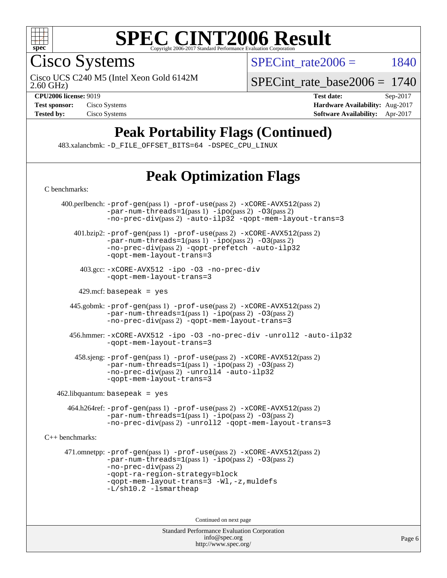

Cisco Systems

Cisco UCS C240 M5 (Intel Xeon Gold 6142M

SPECint rate $2006 = 1840$ 

[SPECint\\_rate\\_base2006 =](http://www.spec.org/auto/cpu2006/Docs/result-fields.html#SPECintratebase2006) 1740

2.60 GHz)

**[CPU2006 license:](http://www.spec.org/auto/cpu2006/Docs/result-fields.html#CPU2006license)** 9019 **[Test date:](http://www.spec.org/auto/cpu2006/Docs/result-fields.html#Testdate)** Sep-2017 **[Test sponsor:](http://www.spec.org/auto/cpu2006/Docs/result-fields.html#Testsponsor)** Cisco Systems **[Hardware Availability:](http://www.spec.org/auto/cpu2006/Docs/result-fields.html#HardwareAvailability)** Aug-2017 **[Tested by:](http://www.spec.org/auto/cpu2006/Docs/result-fields.html#Testedby)** Cisco Systems **[Software Availability:](http://www.spec.org/auto/cpu2006/Docs/result-fields.html#SoftwareAvailability)** Apr-2017

# **[Peak Portability Flags \(Continued\)](http://www.spec.org/auto/cpu2006/Docs/result-fields.html#PeakPortabilityFlags)**

483.xalancbmk: [-D\\_FILE\\_OFFSET\\_BITS=64](http://www.spec.org/cpu2006/results/res2017q4/cpu2006-20170919-50191.flags.html#user_peakPORTABILITY483_xalancbmk_file_offset_bits_64_438cf9856305ebd76870a2c6dc2689ab) [-DSPEC\\_CPU\\_LINUX](http://www.spec.org/cpu2006/results/res2017q4/cpu2006-20170919-50191.flags.html#b483.xalancbmk_peakCXXPORTABILITY_DSPEC_CPU_LINUX)

# **[Peak Optimization Flags](http://www.spec.org/auto/cpu2006/Docs/result-fields.html#PeakOptimizationFlags)**

Standard Performance Evaluation Corporation [C benchmarks](http://www.spec.org/auto/cpu2006/Docs/result-fields.html#Cbenchmarks): 400.perlbench: [-prof-gen](http://www.spec.org/cpu2006/results/res2017q4/cpu2006-20170919-50191.flags.html#user_peakPASS1_CFLAGSPASS1_LDCFLAGS400_perlbench_prof_gen_e43856698f6ca7b7e442dfd80e94a8fc)(pass 1) [-prof-use](http://www.spec.org/cpu2006/results/res2017q4/cpu2006-20170919-50191.flags.html#user_peakPASS2_CFLAGSPASS2_LDCFLAGS400_perlbench_prof_use_bccf7792157ff70d64e32fe3e1250b55)(pass 2) [-xCORE-AVX512](http://www.spec.org/cpu2006/results/res2017q4/cpu2006-20170919-50191.flags.html#user_peakPASS2_CFLAGSPASS2_LDCFLAGS400_perlbench_f-xCORE-AVX512)(pass 2)  $-par-num-threads=1(pass 1) -ipo(pass 2) -O3(pass 2)$  $-par-num-threads=1(pass 1) -ipo(pass 2) -O3(pass 2)$  $-par-num-threads=1(pass 1) -ipo(pass 2) -O3(pass 2)$  $-par-num-threads=1(pass 1) -ipo(pass 2) -O3(pass 2)$  $-par-num-threads=1(pass 1) -ipo(pass 2) -O3(pass 2)$  $-par-num-threads=1(pass 1) -ipo(pass 2) -O3(pass 2)$ [-no-prec-div](http://www.spec.org/cpu2006/results/res2017q4/cpu2006-20170919-50191.flags.html#user_peakPASS2_CFLAGSPASS2_LDCFLAGS400_perlbench_f-no-prec-div)(pass 2) [-auto-ilp32](http://www.spec.org/cpu2006/results/res2017q4/cpu2006-20170919-50191.flags.html#user_peakCOPTIMIZE400_perlbench_f-auto-ilp32) [-qopt-mem-layout-trans=3](http://www.spec.org/cpu2006/results/res2017q4/cpu2006-20170919-50191.flags.html#user_peakCOPTIMIZE400_perlbench_f-qopt-mem-layout-trans_170f5be61cd2cedc9b54468c59262d5d) 401.bzip2: [-prof-gen](http://www.spec.org/cpu2006/results/res2017q4/cpu2006-20170919-50191.flags.html#user_peakPASS1_CFLAGSPASS1_LDCFLAGS401_bzip2_prof_gen_e43856698f6ca7b7e442dfd80e94a8fc)(pass 1) [-prof-use](http://www.spec.org/cpu2006/results/res2017q4/cpu2006-20170919-50191.flags.html#user_peakPASS2_CFLAGSPASS2_LDCFLAGS401_bzip2_prof_use_bccf7792157ff70d64e32fe3e1250b55)(pass 2) [-xCORE-AVX512](http://www.spec.org/cpu2006/results/res2017q4/cpu2006-20170919-50191.flags.html#user_peakPASS2_CFLAGSPASS2_LDCFLAGS401_bzip2_f-xCORE-AVX512)(pass 2) [-par-num-threads=1](http://www.spec.org/cpu2006/results/res2017q4/cpu2006-20170919-50191.flags.html#user_peakPASS1_CFLAGSPASS1_LDCFLAGS401_bzip2_par_num_threads_786a6ff141b4e9e90432e998842df6c2)(pass 1) [-ipo](http://www.spec.org/cpu2006/results/res2017q4/cpu2006-20170919-50191.flags.html#user_peakPASS2_CFLAGSPASS2_LDCFLAGS401_bzip2_f-ipo)(pass 2) [-O3](http://www.spec.org/cpu2006/results/res2017q4/cpu2006-20170919-50191.flags.html#user_peakPASS2_CFLAGSPASS2_LDCFLAGS401_bzip2_f-O3)(pass 2) [-no-prec-div](http://www.spec.org/cpu2006/results/res2017q4/cpu2006-20170919-50191.flags.html#user_peakPASS2_CFLAGSPASS2_LDCFLAGS401_bzip2_f-no-prec-div)(pass 2) [-qopt-prefetch](http://www.spec.org/cpu2006/results/res2017q4/cpu2006-20170919-50191.flags.html#user_peakCOPTIMIZE401_bzip2_f-qopt-prefetch) [-auto-ilp32](http://www.spec.org/cpu2006/results/res2017q4/cpu2006-20170919-50191.flags.html#user_peakCOPTIMIZE401_bzip2_f-auto-ilp32) [-qopt-mem-layout-trans=3](http://www.spec.org/cpu2006/results/res2017q4/cpu2006-20170919-50191.flags.html#user_peakCOPTIMIZE401_bzip2_f-qopt-mem-layout-trans_170f5be61cd2cedc9b54468c59262d5d) 403.gcc: [-xCORE-AVX512](http://www.spec.org/cpu2006/results/res2017q4/cpu2006-20170919-50191.flags.html#user_peakOPTIMIZE403_gcc_f-xCORE-AVX512) [-ipo](http://www.spec.org/cpu2006/results/res2017q4/cpu2006-20170919-50191.flags.html#user_peakOPTIMIZE403_gcc_f-ipo) [-O3](http://www.spec.org/cpu2006/results/res2017q4/cpu2006-20170919-50191.flags.html#user_peakOPTIMIZE403_gcc_f-O3) [-no-prec-div](http://www.spec.org/cpu2006/results/res2017q4/cpu2006-20170919-50191.flags.html#user_peakOPTIMIZE403_gcc_f-no-prec-div) [-qopt-mem-layout-trans=3](http://www.spec.org/cpu2006/results/res2017q4/cpu2006-20170919-50191.flags.html#user_peakCOPTIMIZE403_gcc_f-qopt-mem-layout-trans_170f5be61cd2cedc9b54468c59262d5d)  $429$ .mcf: basepeak = yes 445.gobmk: [-prof-gen](http://www.spec.org/cpu2006/results/res2017q4/cpu2006-20170919-50191.flags.html#user_peakPASS1_CFLAGSPASS1_LDCFLAGS445_gobmk_prof_gen_e43856698f6ca7b7e442dfd80e94a8fc)(pass 1) [-prof-use](http://www.spec.org/cpu2006/results/res2017q4/cpu2006-20170919-50191.flags.html#user_peakPASS2_CFLAGSPASS2_LDCFLAGSPASS2_LDFLAGS445_gobmk_prof_use_bccf7792157ff70d64e32fe3e1250b55)(pass 2) [-xCORE-AVX512](http://www.spec.org/cpu2006/results/res2017q4/cpu2006-20170919-50191.flags.html#user_peakPASS2_CFLAGSPASS2_LDCFLAGSPASS2_LDFLAGS445_gobmk_f-xCORE-AVX512)(pass 2)  $-par-num-threads=1(pass 1) -ipo(pass 2) -O3(pass 2)$  $-par-num-threads=1(pass 1) -ipo(pass 2) -O3(pass 2)$  $-par-num-threads=1(pass 1) -ipo(pass 2) -O3(pass 2)$  $-par-num-threads=1(pass 1) -ipo(pass 2) -O3(pass 2)$  $-par-num-threads=1(pass 1) -ipo(pass 2) -O3(pass 2)$  $-par-num-threads=1(pass 1) -ipo(pass 2) -O3(pass 2)$ [-no-prec-div](http://www.spec.org/cpu2006/results/res2017q4/cpu2006-20170919-50191.flags.html#user_peakPASS2_LDCFLAGS445_gobmk_f-no-prec-div)(pass 2) [-qopt-mem-layout-trans=3](http://www.spec.org/cpu2006/results/res2017q4/cpu2006-20170919-50191.flags.html#user_peakCOPTIMIZE445_gobmk_f-qopt-mem-layout-trans_170f5be61cd2cedc9b54468c59262d5d) 456.hmmer: [-xCORE-AVX512](http://www.spec.org/cpu2006/results/res2017q4/cpu2006-20170919-50191.flags.html#user_peakOPTIMIZE456_hmmer_f-xCORE-AVX512) [-ipo](http://www.spec.org/cpu2006/results/res2017q4/cpu2006-20170919-50191.flags.html#user_peakOPTIMIZE456_hmmer_f-ipo) [-O3](http://www.spec.org/cpu2006/results/res2017q4/cpu2006-20170919-50191.flags.html#user_peakOPTIMIZE456_hmmer_f-O3) [-no-prec-div](http://www.spec.org/cpu2006/results/res2017q4/cpu2006-20170919-50191.flags.html#user_peakOPTIMIZE456_hmmer_f-no-prec-div) [-unroll2](http://www.spec.org/cpu2006/results/res2017q4/cpu2006-20170919-50191.flags.html#user_peakCOPTIMIZE456_hmmer_f-unroll_784dae83bebfb236979b41d2422d7ec2) [-auto-ilp32](http://www.spec.org/cpu2006/results/res2017q4/cpu2006-20170919-50191.flags.html#user_peakCOPTIMIZE456_hmmer_f-auto-ilp32) [-qopt-mem-layout-trans=3](http://www.spec.org/cpu2006/results/res2017q4/cpu2006-20170919-50191.flags.html#user_peakCOPTIMIZE456_hmmer_f-qopt-mem-layout-trans_170f5be61cd2cedc9b54468c59262d5d) 458.sjeng: [-prof-gen](http://www.spec.org/cpu2006/results/res2017q4/cpu2006-20170919-50191.flags.html#user_peakPASS1_CFLAGSPASS1_LDCFLAGS458_sjeng_prof_gen_e43856698f6ca7b7e442dfd80e94a8fc)(pass 1) [-prof-use](http://www.spec.org/cpu2006/results/res2017q4/cpu2006-20170919-50191.flags.html#user_peakPASS2_CFLAGSPASS2_LDCFLAGS458_sjeng_prof_use_bccf7792157ff70d64e32fe3e1250b55)(pass 2) [-xCORE-AVX512](http://www.spec.org/cpu2006/results/res2017q4/cpu2006-20170919-50191.flags.html#user_peakPASS2_CFLAGSPASS2_LDCFLAGS458_sjeng_f-xCORE-AVX512)(pass 2) [-par-num-threads=1](http://www.spec.org/cpu2006/results/res2017q4/cpu2006-20170919-50191.flags.html#user_peakPASS1_CFLAGSPASS1_LDCFLAGS458_sjeng_par_num_threads_786a6ff141b4e9e90432e998842df6c2)(pass 1) [-ipo](http://www.spec.org/cpu2006/results/res2017q4/cpu2006-20170919-50191.flags.html#user_peakPASS2_CFLAGSPASS2_LDCFLAGS458_sjeng_f-ipo)(pass 2) [-O3](http://www.spec.org/cpu2006/results/res2017q4/cpu2006-20170919-50191.flags.html#user_peakPASS2_CFLAGSPASS2_LDCFLAGS458_sjeng_f-O3)(pass 2) [-no-prec-div](http://www.spec.org/cpu2006/results/res2017q4/cpu2006-20170919-50191.flags.html#user_peakPASS2_CFLAGSPASS2_LDCFLAGS458_sjeng_f-no-prec-div)(pass 2) [-unroll4](http://www.spec.org/cpu2006/results/res2017q4/cpu2006-20170919-50191.flags.html#user_peakCOPTIMIZE458_sjeng_f-unroll_4e5e4ed65b7fd20bdcd365bec371b81f) [-auto-ilp32](http://www.spec.org/cpu2006/results/res2017q4/cpu2006-20170919-50191.flags.html#user_peakCOPTIMIZE458_sjeng_f-auto-ilp32) [-qopt-mem-layout-trans=3](http://www.spec.org/cpu2006/results/res2017q4/cpu2006-20170919-50191.flags.html#user_peakCOPTIMIZE458_sjeng_f-qopt-mem-layout-trans_170f5be61cd2cedc9b54468c59262d5d)  $462$ .libquantum: basepeak = yes 464.h264ref: [-prof-gen](http://www.spec.org/cpu2006/results/res2017q4/cpu2006-20170919-50191.flags.html#user_peakPASS1_CFLAGSPASS1_LDCFLAGS464_h264ref_prof_gen_e43856698f6ca7b7e442dfd80e94a8fc)(pass 1) [-prof-use](http://www.spec.org/cpu2006/results/res2017q4/cpu2006-20170919-50191.flags.html#user_peakPASS2_CFLAGSPASS2_LDCFLAGS464_h264ref_prof_use_bccf7792157ff70d64e32fe3e1250b55)(pass 2) [-xCORE-AVX512](http://www.spec.org/cpu2006/results/res2017q4/cpu2006-20170919-50191.flags.html#user_peakPASS2_CFLAGSPASS2_LDCFLAGS464_h264ref_f-xCORE-AVX512)(pass 2) [-par-num-threads=1](http://www.spec.org/cpu2006/results/res2017q4/cpu2006-20170919-50191.flags.html#user_peakPASS1_CFLAGSPASS1_LDCFLAGS464_h264ref_par_num_threads_786a6ff141b4e9e90432e998842df6c2)(pass 1) [-ipo](http://www.spec.org/cpu2006/results/res2017q4/cpu2006-20170919-50191.flags.html#user_peakPASS2_CFLAGSPASS2_LDCFLAGS464_h264ref_f-ipo)(pass 2) [-O3](http://www.spec.org/cpu2006/results/res2017q4/cpu2006-20170919-50191.flags.html#user_peakPASS2_CFLAGSPASS2_LDCFLAGS464_h264ref_f-O3)(pass 2) [-no-prec-div](http://www.spec.org/cpu2006/results/res2017q4/cpu2006-20170919-50191.flags.html#user_peakPASS2_CFLAGSPASS2_LDCFLAGS464_h264ref_f-no-prec-div)(pass 2) [-unroll2](http://www.spec.org/cpu2006/results/res2017q4/cpu2006-20170919-50191.flags.html#user_peakCOPTIMIZE464_h264ref_f-unroll_784dae83bebfb236979b41d2422d7ec2) [-qopt-mem-layout-trans=3](http://www.spec.org/cpu2006/results/res2017q4/cpu2006-20170919-50191.flags.html#user_peakCOPTIMIZE464_h264ref_f-qopt-mem-layout-trans_170f5be61cd2cedc9b54468c59262d5d) [C++ benchmarks:](http://www.spec.org/auto/cpu2006/Docs/result-fields.html#CXXbenchmarks) 471.omnetpp: [-prof-gen](http://www.spec.org/cpu2006/results/res2017q4/cpu2006-20170919-50191.flags.html#user_peakPASS1_CXXFLAGSPASS1_LDCXXFLAGS471_omnetpp_prof_gen_e43856698f6ca7b7e442dfd80e94a8fc)(pass 1) [-prof-use](http://www.spec.org/cpu2006/results/res2017q4/cpu2006-20170919-50191.flags.html#user_peakPASS2_CXXFLAGSPASS2_LDCXXFLAGS471_omnetpp_prof_use_bccf7792157ff70d64e32fe3e1250b55)(pass 2) [-xCORE-AVX512](http://www.spec.org/cpu2006/results/res2017q4/cpu2006-20170919-50191.flags.html#user_peakPASS2_CXXFLAGSPASS2_LDCXXFLAGS471_omnetpp_f-xCORE-AVX512)(pass 2) [-par-num-threads=1](http://www.spec.org/cpu2006/results/res2017q4/cpu2006-20170919-50191.flags.html#user_peakPASS1_CXXFLAGSPASS1_LDCXXFLAGS471_omnetpp_par_num_threads_786a6ff141b4e9e90432e998842df6c2)(pass 1) [-ipo](http://www.spec.org/cpu2006/results/res2017q4/cpu2006-20170919-50191.flags.html#user_peakPASS2_CXXFLAGSPASS2_LDCXXFLAGS471_omnetpp_f-ipo)(pass 2) [-O3](http://www.spec.org/cpu2006/results/res2017q4/cpu2006-20170919-50191.flags.html#user_peakPASS2_CXXFLAGSPASS2_LDCXXFLAGS471_omnetpp_f-O3)(pass 2) [-no-prec-div](http://www.spec.org/cpu2006/results/res2017q4/cpu2006-20170919-50191.flags.html#user_peakPASS2_CXXFLAGSPASS2_LDCXXFLAGS471_omnetpp_f-no-prec-div)(pass 2) [-qopt-ra-region-strategy=block](http://www.spec.org/cpu2006/results/res2017q4/cpu2006-20170919-50191.flags.html#user_peakCXXOPTIMIZE471_omnetpp_f-qopt-ra-region-strategy_430aa8f7c220cbde92ae827fa8d9be32)  [-qopt-mem-layout-trans=3](http://www.spec.org/cpu2006/results/res2017q4/cpu2006-20170919-50191.flags.html#user_peakCXXOPTIMIZE471_omnetpp_f-qopt-mem-layout-trans_170f5be61cd2cedc9b54468c59262d5d) [-Wl,-z,muldefs](http://www.spec.org/cpu2006/results/res2017q4/cpu2006-20170919-50191.flags.html#user_peakEXTRA_LDFLAGS471_omnetpp_link_force_multiple1_74079c344b956b9658436fd1b6dd3a8a) [-L/sh10.2 -lsmartheap](http://www.spec.org/cpu2006/results/res2017q4/cpu2006-20170919-50191.flags.html#user_peakEXTRA_LIBS471_omnetpp_SmartHeap_b831f2d313e2fffa6dfe3f00ffc1f1c0) Continued on next page

> [info@spec.org](mailto:info@spec.org) <http://www.spec.org/>